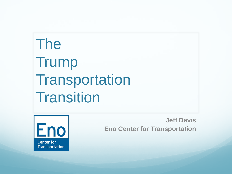# The Trump **Transportation Transition**



**Jeff Davis Eno Center for Transportation**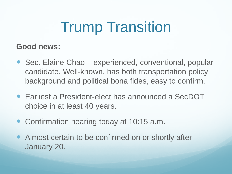# Trump Transition

### **Good news:**

- Sec. Elaine Chao experienced, conventional, popular candidate. Well-known, has both transportation policy background and political bona fides, easy to confirm.
- Earliest a President-elect has announced a SecDOT choice in at least 40 years.
- Confirmation hearing today at 10:15 a.m.
- Almost certain to be confirmed on or shortly after January 20.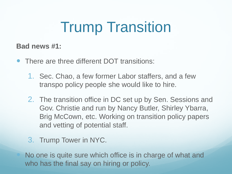# Trump Transition

### **Bad news #1:**

- There are three different DOT transitions:
	- 1. Sec. Chao, a few former Labor staffers, and a few transpo policy people she would like to hire.
	- 2. The transition office in DC set up by Sen. Sessions and Gov. Christie and run by Nancy Butler, Shirley Ybarra, Brig McCown, etc. Working on transition policy papers and vetting of potential staff.
	- 3. Trump Tower in NYC.

 No one is quite sure which office is in charge of what and who has the final say on hiring or policy.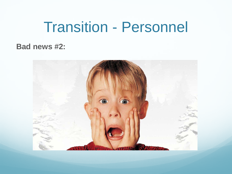### Transition - Personnel

### **Bad news #2:**

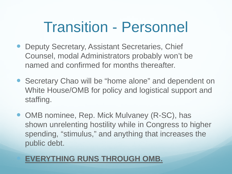### Transition - Personnel

- Deputy Secretary, Assistant Secretaries, Chief Counsel, modal Administrators probably won't be named and confirmed for months thereafter.
- Secretary Chao will be "home alone" and dependent on White House/OMB for policy and logistical support and staffing.
- OMB nominee, Rep. Mick Mulvaney (R-SC), has shown unrelenting hostility while in Congress to higher spending, "stimulus," and anything that increases the public debt.

### **EVERYTHING RUNS THROUGH OMB.**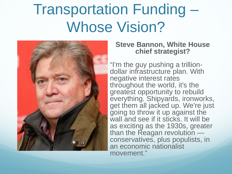

#### **Steve Bannon, White House chief strategist?**

"I'm the guy pushing a trillion- dollar infrastructure plan. With negative interest rates throughout the world, it's the greatest opportunity to rebuild everything. Shipyards, ironworks, get them all jacked up. We're just going to throw it up against the wall and see if it sticks. It will be as exciting as the 1930s, greater<br>than the Reagan revolution conservatives, plus populists, in an economic nationalist movement."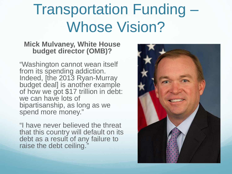#### **Mick Mulvaney, White House budget director (OMB)?**

"Washington cannot wean itself from its spending addiction. Indeed, [the 2013 Ryan-Murray budget deal] is another example of how we got \$17 trillion in debt: we can have lots of bipartisanship, as long as we spend more money."

"I have never believed the threat that this country will default on its debt as a result of any failure to raise the debt ceiling."

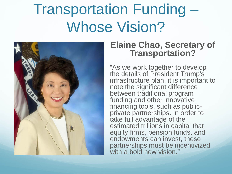

### **Elaine Chao, Secretary of Transportation?**

"As we work together to develop the details of President Trump's infrastructure plan, it is important to note the significant difference between traditional program funding and other innovative<br>financing tools, such as publicprivate partnerships. In order to take full advantage of the estimated trillions in capital that equity firms, pension funds, and endowments can invest, these partnerships must be incentivized with a bold new vision."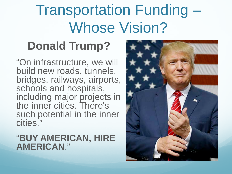### **Donald Trump?**

"On infrastructure, we will build new roads, tunnels, bridges, railways, airports, schools and hospitals, including major projects in the inner cities. There's such potential in the inner cities."

### "**BUY AMERICAN, HIRE AMERICAN**."

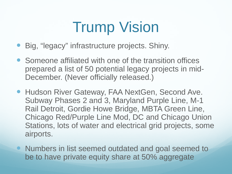- Big, "legacy" infrastructure projects. Shiny.
- Someone affiliated with one of the transition offices prepared a list of 50 potential legacy projects in mid-December. (Never officially released.)
- Hudson River Gateway, FAA NextGen, Second Ave. Subway Phases 2 and 3, Maryland Purple Line, M-1 Rail Detroit, Gordie Howe Bridge, MBTA Green Line, Chicago Red/Purple Line Mod, DC and Chicago Union Stations, lots of water and electrical grid projects, some airports.
- Numbers in list seemed outdated and goal seemed to be to have private equity share at 50% aggregate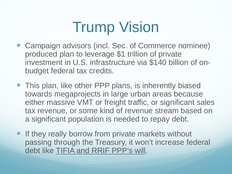- Campaign advisors (incl. Sec. of Commerce nominee) produced plan to leverage \$1 trillion of private investment in U.S. infrastructure via \$140 billion of onbudget federal tax credits.
- This plan, like other PPP plans, is inherently biased towards megaprojects in large urban areas because either massive VMT or freight traffic, or significant sales tax revenue, or some kind of revenue stream based on a significant population is needed to repay debt.
- **If they really borrow from private markets without** passing through the Treasury, it won't increase federal debt like TIFIA and RRIF PPP's will.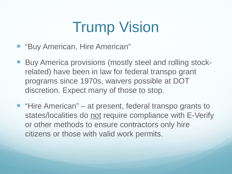- "Buy American, Hire American"
- Buy America provisions (mostly steel and rolling stockrelated) have been in law for federal transpo grant programs since 1970s, waivers possible at DOT discretion. Expect many of those to stop.
- "Hire American" at present, federal transpo grants to states/localities do not require compliance with E-Verify or other methods to ensure contractors only hire citizens or those with valid work permits.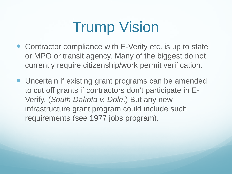- Contractor compliance with E-Verify etc. is up to state or MPO or transit agency. Many of the biggest do not currently require citizenship/work permit verification.
- Uncertain if existing grant programs can be amended to cut off grants if contractors don't participate in E-Verify. (*South Dakota v. Dole*.) But any new infrastructure grant program could include such requirements (see 1977 jobs program).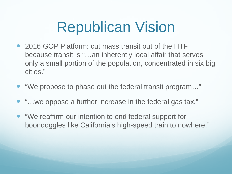### Republican Vision

- 2016 GOP Platform: cut mass transit out of the HTF because transit is "…an inherently local affair that serves only a small portion of the population, concentrated in six big cities."
- "We propose to phase out the federal transit program…"
- "…we oppose a further increase in the federal gas tax."
- "We reaffirm our intention to end federal support for boondoggles like California's high-speed train to nowhere."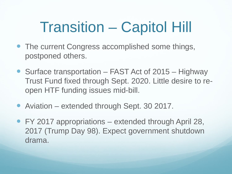# Transition – Capitol Hill

- The current Congress accomplished some things, postponed others.
- Surface transportation FAST Act of 2015 Highway Trust Fund fixed through Sept. 2020. Little desire to reopen HTF funding issues mid-bill.
- Aviation extended through Sept. 30 2017.
- FY 2017 appropriations extended through April 28, 2017 (Trump Day 98). Expect government shutdown drama.